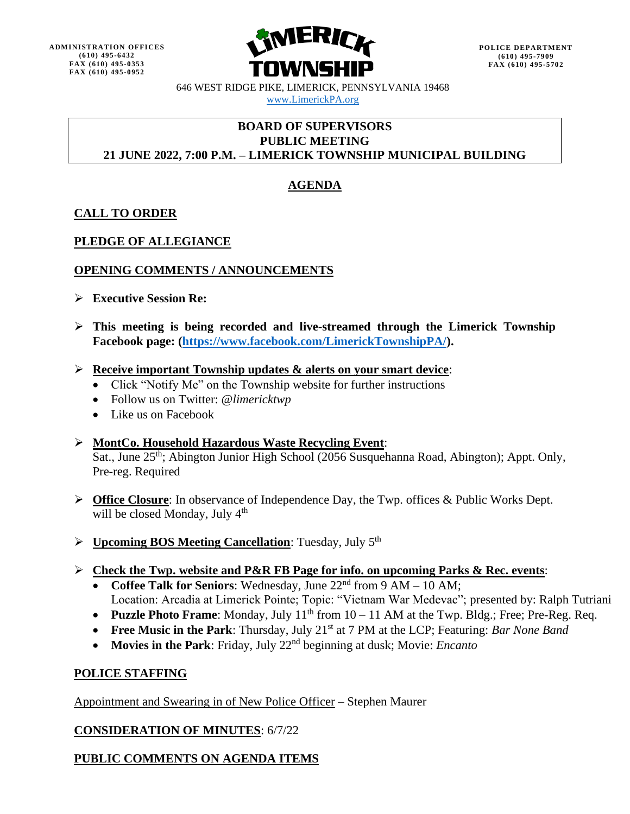

646 WEST RIDGE PIKE, LIMERICK, PENNSYLVANIA 19468 [www.LimerickPA.org](http://www.limerickpa.org/)

### **BOARD OF SUPERVISORS PUBLIC MEETING 21 JUNE 2022, 7:00 P.M. – LIMERICK TOWNSHIP MUNICIPAL BUILDING**

# **AGENDA**

# **CALL TO ORDER**

### **PLEDGE OF ALLEGIANCE**

### **OPENING COMMENTS / ANNOUNCEMENTS**

- ➢ **Executive Session Re:**
- ➢ **This meeting is being recorded and live-streamed through the Limerick Township Facebook page: [\(https://www.facebook.com/LimerickTownshipPA/\)](https://www.facebook.com/LimerickTownshipPA/).**
- ➢ **Receive important Township updates & alerts on your smart device**:
	- Click "Notify Me" on the Township website for further instructions
	- Follow us on Twitter: @*limericktwp*
	- Like us on Facebook
- ➢ **MontCo. Household Hazardous Waste Recycling Event**: Sat., June 25<sup>th</sup>; Abington Junior High School (2056 Susquehanna Road, Abington); Appt. Only, Pre-reg. Required
- ➢ **Office Closure**: In observance of Independence Day, the Twp. offices & Public Works Dept. will be closed Monday, July  $4<sup>th</sup>$
- > **Upcoming BOS Meeting Cancellation**: Tuesday, July 5<sup>th</sup>
- ➢ **Check the Twp. website and P&R FB Page for info. on upcoming Parks & Rec. events**:
	- **Coffee Talk for Seniors**: Wednesday, June 22nd from 9 AM 10 AM; Location: Arcadia at Limerick Pointe; Topic: "Vietnam War Medevac"; presented by: Ralph Tutriani
	- Puzzle Photo Frame: Monday, July 11<sup>th</sup> from 10 11 AM at the Twp. Bldg.; Free; Pre-Reg. Req.
	- **Free Music in the Park**: Thursday, July 21st at 7 PM at the LCP; Featuring: *Bar None Band*
	- **Movies in the Park**: Friday, July 22nd beginning at dusk; Movie: *Encanto*

### **POLICE STAFFING**

Appointment and Swearing in of New Police Officer – Stephen Maurer

### **CONSIDERATION OF MINUTES**: 6/7/22

# **PUBLIC COMMENTS ON AGENDA ITEMS**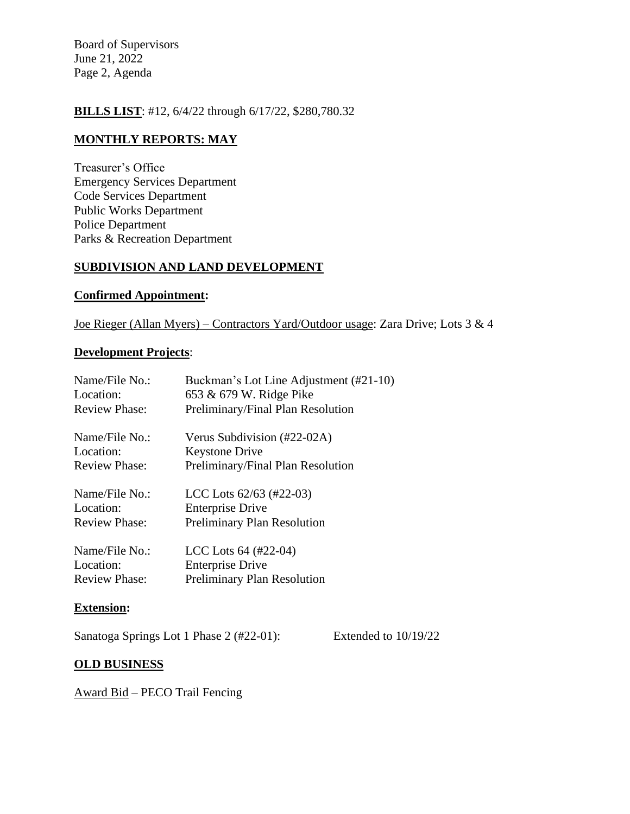Board of Supervisors June 21, 2022 Page 2, Agenda

### **BILLS LIST**: #12, 6/4/22 through 6/17/22, \$280,780.32

## **MONTHLY REPORTS: MAY**

Treasurer's Office Emergency Services Department Code Services Department Public Works Department Police Department Parks & Recreation Department

### **SUBDIVISION AND LAND DEVELOPMENT**

#### **Confirmed Appointment:**

Joe Rieger (Allan Myers) – Contractors Yard/Outdoor usage: Zara Drive; Lots 3 & 4

#### **Development Projects**:

| Name/File No.:       | Buckman's Lot Line Adjustment (#21-10) |
|----------------------|----------------------------------------|
| Location:            | 653 & 679 W. Ridge Pike                |
| <b>Review Phase:</b> | Preliminary/Final Plan Resolution      |
| Name/File No.:       | Verus Subdivision (#22-02A)            |
| Location:            | <b>Keystone Drive</b>                  |
| <b>Review Phase:</b> | Preliminary/Final Plan Resolution      |
| Name/File No.:       | LCC Lots $62/63$ (#22-03)              |
| Location:            | <b>Enterprise Drive</b>                |
| <b>Review Phase:</b> | <b>Preliminary Plan Resolution</b>     |
| Name/File No.:       | LCC Lots $64$ (#22-04)                 |
| Location:            | <b>Enterprise Drive</b>                |
| <b>Review Phase:</b> | <b>Preliminary Plan Resolution</b>     |

#### **Extension:**

Sanatoga Springs Lot 1 Phase 2 (#22-01): Extended to 10/19/22

### **OLD BUSINESS**

Award Bid – PECO Trail Fencing